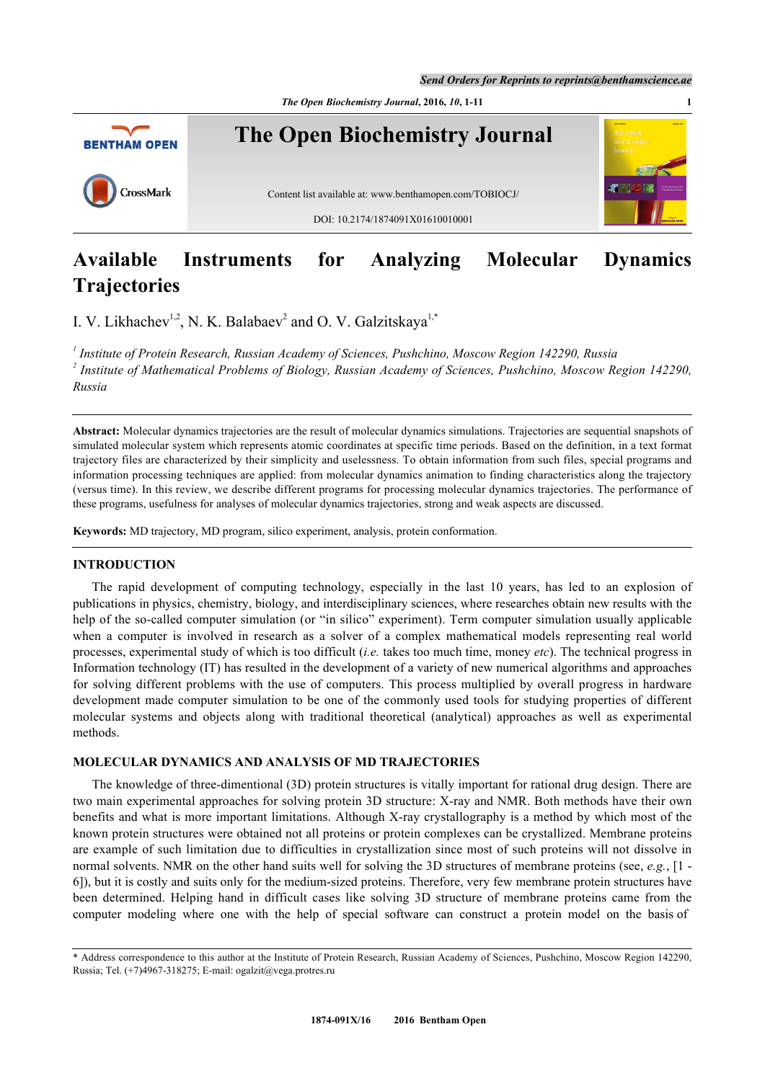*Send Orders for Reprints to reprints@benthamscience.ae*

*The Open Biochemistry Journal***, 2016,** *10***, 1-11 1**



# **Available Instruments for Analyzing Molecular Dynamics Trajectories**

I. V. Likhachev<sup>[1](#page-0-0),[2](#page-0-1)</sup>, N. K. Balabaev<sup>2</sup> and O. V. Galzitskaya<sup>1,[\\*](#page-0-2)</sup>

<span id="page-0-1"></span><span id="page-0-0"></span>*1 Institute of Protein Research, Russian Academy of Sciences, Pushchino, Moscow Region 142290, Russia 2 Institute of Mathematical Problems of Biology, Russian Academy of Sciences, Pushchino, Moscow Region 142290, Russia*

**Abstract:** Molecular dynamics trajectories are the result of molecular dynamics simulations. Trajectories are sequential snapshots of simulated molecular system which represents atomic coordinates at specific time periods. Based on the definition, in a text format trajectory files are characterized by their simplicity and uselessness. To obtain information from such files, special programs and information processing techniques are applied: from molecular dynamics animation to finding characteristics along the trajectory (versus time). In this review, we describe different programs for processing molecular dynamics trajectories. The performance of these programs, usefulness for analyses of molecular dynamics trajectories, strong and weak aspects are discussed.

**Keywords:** MD trajectory, MD program, silico experiment, analysis, protein conformation.

# **INTRODUCTION**

The rapid development of computing technology, especially in the last 10 years, has led to an explosion of publications in physics, chemistry, biology, and interdisciplinary sciences, where researches obtain new results with the help of the so-called computer simulation (or "in silico" experiment). Term computer simulation usually applicable when a computer is involved in research as a solver of a complex mathematical models representing real world processes, experimental study of which is too difficult (*i.e.* takes too much time, money *etc*). The technical progress in Information technology (IT) has resulted in the development of a variety of new numerical algorithms and approaches for solving different problems with the use of computers. This process multiplied by overall progress in hardware development made computer simulation to be one of the commonly used tools for studying properties of different molecular systems and objects along with traditional theoretical (analytical) approaches as well as experimental methods.

# **MOLECULAR DYNAMICS AND ANALYSIS OF MD TRAJECTORIES**

The knowledge of three-dimentional (3D) protein structures is vitally important for rational drug design. There are two main experimental approaches for solving protein 3D structure: X-ray and NMR. Both methods have their own benefits and what is more important limitations. Although X-ray crystallography is a method by which most of the known protein structures were obtained not all proteins or protein complexes can be crystallized. Membrane proteins are example of such limitation due to difficulties in crystallization since most of such proteins will not dissolve in normal solvents. NMR on the other hand suits well for solving the 3D structures of membrane proteins (see, *e.g.*, [\[1](#page-8-0) - [6\]](#page-8-1)), but it is costly and suits only for the medium-sized proteins. Therefore, very few membrane protein structures have been determined. Helping hand in difficult cases like solving 3D structure of membrane proteins came from the computer modeling where one with the help of special software can construct a protein model on the basis of

<span id="page-0-2"></span><sup>\*</sup> Address correspondence to this author at the Institute of Protein Research, Russian Academy of Sciences, Pushchino, Moscow Region 142290, Russia; Tel. (+7)4967-318275; E-mail: [ogalzit@vega.protres.ru](mailto:ogalzit@vega.protres.ru)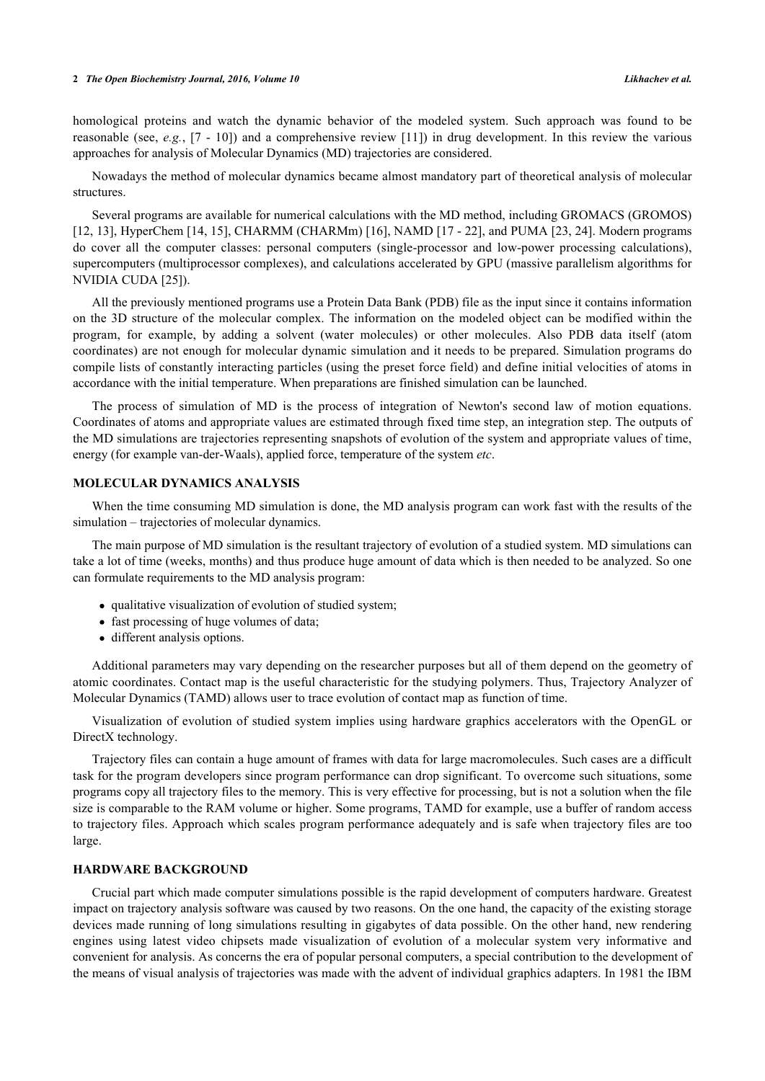homological proteins and watch the dynamic behavior of the modeled system. Such approach was found to be reasonable (see, *e.g.*, [[7](#page-8-2) - [10\]](#page-8-3)) and a comprehensive review [[11\]](#page-8-4)) in drug development. In this review the various approaches for analysis of Molecular Dynamics (MD) trajectories are considered.

Nowadays the method of molecular dynamics became almost mandatory part of theoretical analysis of molecular structures.

Several programs are available for numerical calculations with the MD method, including GROMACS (GROMOS) [\[12](#page-8-5), [13](#page-8-6)], HyperChem [[14](#page-8-7)[, 15](#page-8-8)], CHARMM (CHARMm) [\[16](#page-8-9)], NAMD [\[17](#page-8-10) - [22\]](#page-9-0), and PUMA [\[23,](#page-9-1) [24\]](#page-9-2). Modern programs do cover all the computer classes: personal computers (single-processor and low-power processing calculations), supercomputers (multiprocessor complexes), and calculations accelerated by GPU (massive parallelism algorithms for NVIDIA CUDA [[25\]](#page-9-3)).

All the previously mentioned programs use a Protein Data Bank (PDB) file as the input since it contains information on the 3D structure of the molecular complex. The information on the modeled object can be modified within the program, for example, by adding a solvent (water molecules) or other molecules. Also PDB data itself (atom coordinates) are not enough for molecular dynamic simulation and it needs to be prepared. Simulation programs do compile lists of constantly interacting particles (using the preset force field) and define initial velocities of atoms in accordance with the initial temperature. When preparations are finished simulation can be launched.

The process of simulation of MD is the process of integration of Newton's second law of motion equations. Coordinates of atoms and appropriate values are estimated through fixed time step, an integration step. The outputs of the MD simulations are trajectories representing snapshots of evolution of the system and appropriate values of time, energy (for example van-der-Waals), applied force, temperature of the system *etc*.

# **MOLECULAR DYNAMICS ANALYSIS**

When the time consuming MD simulation is done, the MD analysis program can work fast with the results of the simulation – trajectories of molecular dynamics.

The main purpose of MD simulation is the resultant trajectory of evolution of a studied system. MD simulations can take a lot of time (weeks, months) and thus produce huge amount of data which is then needed to be analyzed. So one can formulate requirements to the MD analysis program:

- qualitative visualization of evolution of studied system;
- fast processing of huge volumes of data;
- different analysis options.

Additional parameters may vary depending on the researcher purposes but all of them depend on the geometry of atomic coordinates. Contact map is the useful characteristic for the studying polymers. Thus, Trajectory Analyzer of Molecular Dynamics (TAMD) allows user to trace evolution of contact map as function of time.

Visualization of evolution of studied system implies using hardware graphics accelerators with the OpenGL or DirectX technology.

Trajectory files can contain a huge amount of frames with data for large macromolecules. Such cases are a difficult task for the program developers since program performance can drop significant. To overcome such situations, some programs copy all trajectory files to the memory. This is very effective for processing, but is not a solution when the file size is comparable to the RAM volume or higher. Some programs, TAMD for example, use a buffer of random access to trajectory files. Approach which scales program performance adequately and is safe when trajectory files are too large.

# **HARDWARE BACKGROUND**

Crucial part which made computer simulations possible is the rapid development of computers hardware. Greatest impact on trajectory analysis software was caused by two reasons. On the one hand, the capacity of the existing storage devices made running of long simulations resulting in gigabytes of data possible. On the other hand, new rendering engines using latest video chipsets made visualization of evolution of a molecular system very informative and convenient for analysis. As concerns the era of popular personal computers, a special contribution to the development of the means of visual analysis of trajectories was made with the advent of individual graphics adapters. In 1981 the IBM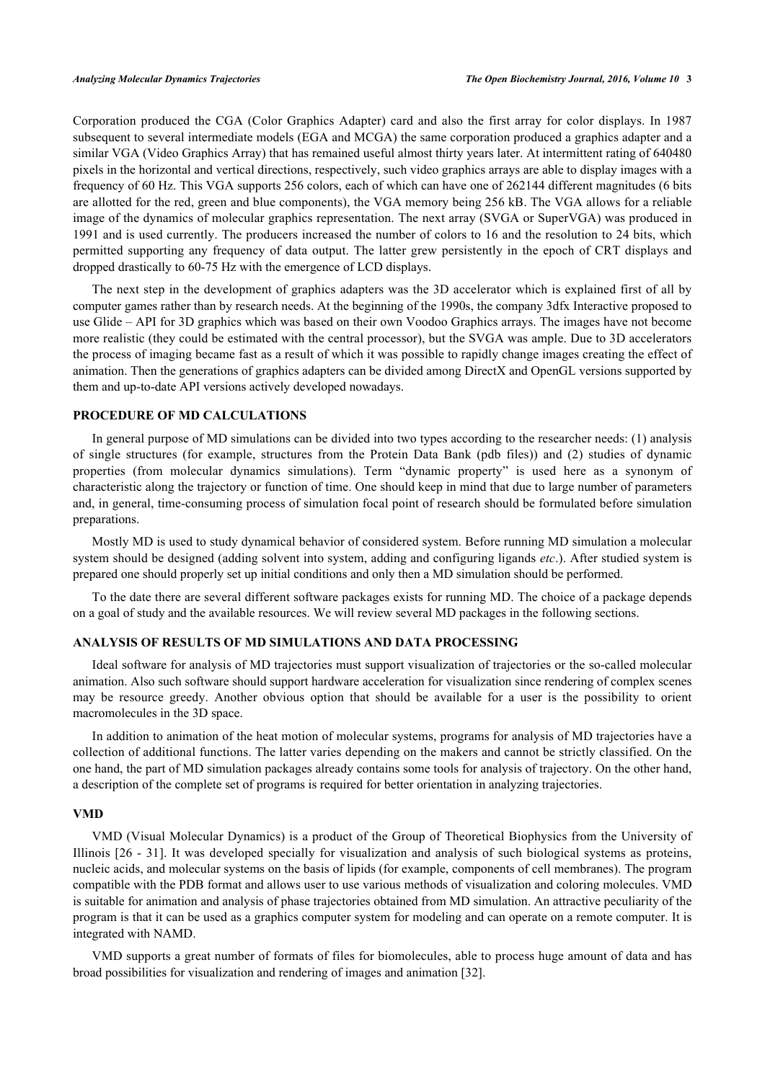Corporation produced the CGA (Color Graphics Adapter) card and also the first array for color displays. In 1987 subsequent to several intermediate models (EGA and MCGA) the same corporation produced a graphics adapter and a similar VGA (Video Graphics Array) that has remained useful almost thirty years later. At intermittent rating of 640480 pixels in the horizontal and vertical directions, respectively, such video graphics arrays are able to display images with a frequency of 60 Hz. This VGA supports 256 colors, each of which can have one of 262144 different magnitudes (6 bits are allotted for the red, green and blue components), the VGA memory being 256 kB. The VGA allows for a reliable image of the dynamics of molecular graphics representation. The next array (SVGA or SuperVGA) was produced in 1991 and is used currently. The producers increased the number of colors to 16 and the resolution to 24 bits, which permitted supporting any frequency of data output. The latter grew persistently in the epoch of CRT displays and dropped drastically to 60-75 Hz with the emergence of LCD displays.

The next step in the development of graphics adapters was the 3D accelerator which is explained first of all by computer games rather than by research needs. At the beginning of the 1990s, the company 3dfx Interactive proposed to use Glide – API for 3D graphics which was based on their own Voodoo Graphics arrays. The images have not become more realistic (they could be estimated with the central processor), but the SVGA was ample. Due to 3D accelerators the process of imaging became fast as a result of which it was possible to rapidly change images creating the effect of animation. Then the generations of graphics adapters can be divided among DirectX and OpenGL versions supported by them and up-to-date API versions actively developed nowadays.

# **PROCEDURE OF MD CALCULATIONS**

In general purpose of MD simulations can be divided into two types according to the researcher needs: (1) analysis of single structures (for example, structures from the Protein Data Bank (pdb files)) and (2) studies of dynamic properties (from molecular dynamics simulations). Term "dynamic property" is used here as a synonym of characteristic along the trajectory or function of time. One should keep in mind that due to large number of parameters and, in general, time-consuming process of simulation focal point of research should be formulated before simulation preparations.

Mostly MD is used to study dynamical behavior of considered system. Before running MD simulation a molecular system should be designed (adding solvent into system, adding and configuring ligands *etc*.). After studied system is prepared one should properly set up initial conditions and only then a MD simulation should be performed.

To the date there are several different software packages exists for running MD. The choice of a package depends on a goal of study and the available resources. We will review several MD packages in the following sections.

# **ANALYSIS OF RESULTS OF MD SIMULATIONS AND DATA PROCESSING**

Ideal software for analysis of MD trajectories must support visualization of trajectories or the so-called molecular animation. Also such software should support hardware acceleration for visualization since rendering of complex scenes may be resource greedy. Another obvious option that should be available for a user is the possibility to orient macromolecules in the 3D space.

In addition to animation of the heat motion of molecular systems, programs for analysis of MD trajectories have a collection of additional functions. The latter varies depending on the makers and cannot be strictly classified. On the one hand, the part of MD simulation packages already contains some tools for analysis of trajectory. On the other hand, a description of the complete set of programs is required for better orientation in analyzing trajectories.

#### **VMD**

VMD (Visual Molecular Dynamics) is a product of the Group of Theoretical Biophysics from the University of Illinois [[26](#page-9-4) - [31](#page-9-5)]. It was developed specially for visualization and analysis of such biological systems as proteins, nucleic acids, and molecular systems on the basis of lipids (for example, components of cell membranes). The program compatible with the PDB format and allows user to use various methods of visualization and coloring molecules. VMD is suitable for animation and analysis of phase trajectories obtained from MD simulation. An attractive peculiarity of the program is that it can be used as a graphics computer system for modeling and can operate on a remote computer. It is integrated with NAMD.

VMD supports a great number of formats of files for biomolecules, able to process huge amount of data and has broad possibilities for visualization and rendering of images and animation [\[32](#page-9-6)].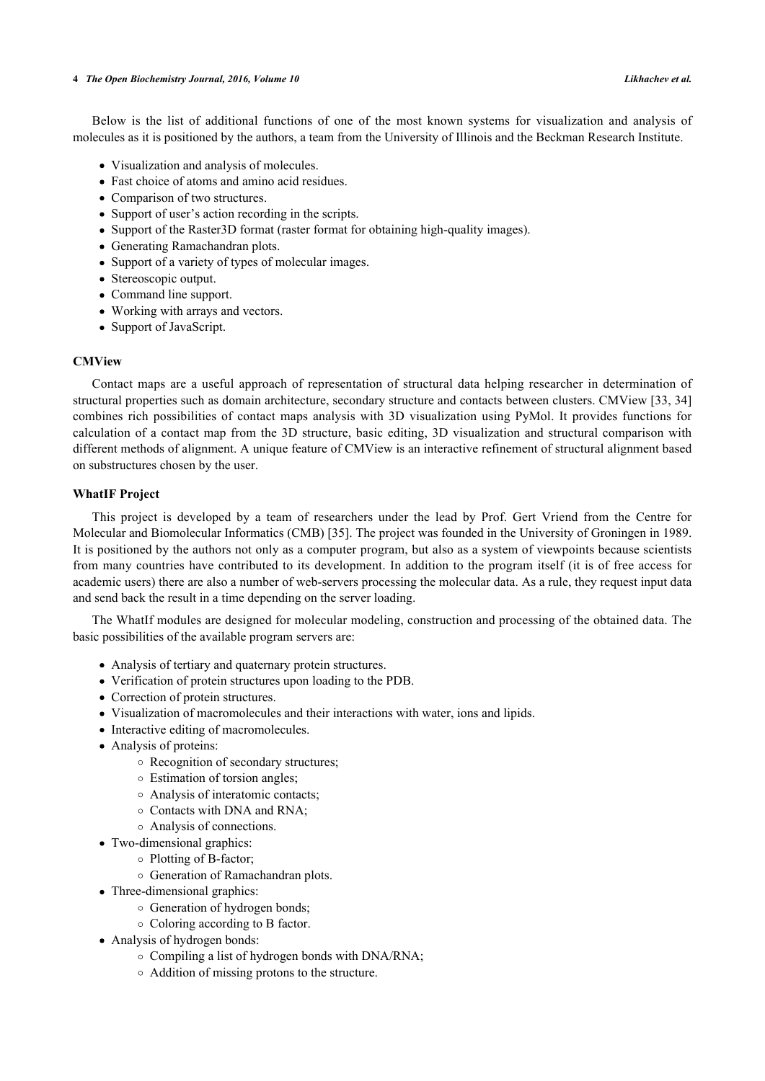Below is the list of additional functions of one of the most known systems for visualization and analysis of molecules as it is positioned by the authors, a team from the University of Illinois and the Beckman Research Institute.

- Visualization and analysis of molecules.
- Fast choice of atoms and amino acid residues.
- Comparison of two structures.
- Support of user's action recording in the scripts.
- Support of the Raster3D format (raster format for obtaining high-quality images).
- Generating Ramachandran plots.
- Support of a variety of types of molecular images.
- Stereoscopic output.
- Command line support.
- Working with arrays and vectors.
- Support of JavaScript.

## **CMView**

Contact maps are a useful approach of representation of structural data helping researcher in determination of structural properties such as domain architecture, secondary structure and contacts between clusters. CMView [[33](#page-9-7)[, 34](#page-9-8)] combines rich possibilities of contact maps analysis with 3D visualization using PyMol. It provides functions for calculation of a contact map from the 3D structure, basic editing, 3D visualization and structural comparison with different methods of alignment. A unique feature of CMView is an interactive refinement of structural alignment based on substructures chosen by the user.

# **WhatIF Project**

This project is developed by a team of researchers under the lead by Prof. Gert Vriend from the Centre for Molecular and Biomolecular Informatics (CMB) [\[35](#page-9-9)]. The project was founded in the University of Groningen in 1989. It is positioned by the authors not only as a computer program, but also as a system of viewpoints because scientists from many countries have contributed to its development. In addition to the program itself (it is of free access for academic users) there are also a number of web-servers processing the molecular data. As a rule, they request input data and send back the result in a time depending on the server loading.

The WhatIf modules are designed for molecular modeling, construction and processing of the obtained data. The basic possibilities of the available program servers are:

- Analysis of tertiary and quaternary protein structures.
- Verification of protein structures upon loading to the PDB.
- Correction of protein structures.
- Visualization of macromolecules and their interactions with water, ions and lipids.
- Interactive editing of macromolecules.
- Analysis of proteins:
	- Recognition of secondary structures;
	- Estimation of torsion angles;
	- Analysis of interatomic contacts;
	- Contacts with DNA and RNA;
	- Analysis of connections.
- Two-dimensional graphics:
	- Plotting of B-factor;
	- Generation of Ramachandran plots.
- Three-dimensional graphics:
	- $\circ$  Generation of hydrogen bonds:
	- Coloring according to B factor.
- Analysis of hydrogen bonds:
	- Compiling a list of hydrogen bonds with DNA/RNA;
	- Addition of missing protons to the structure.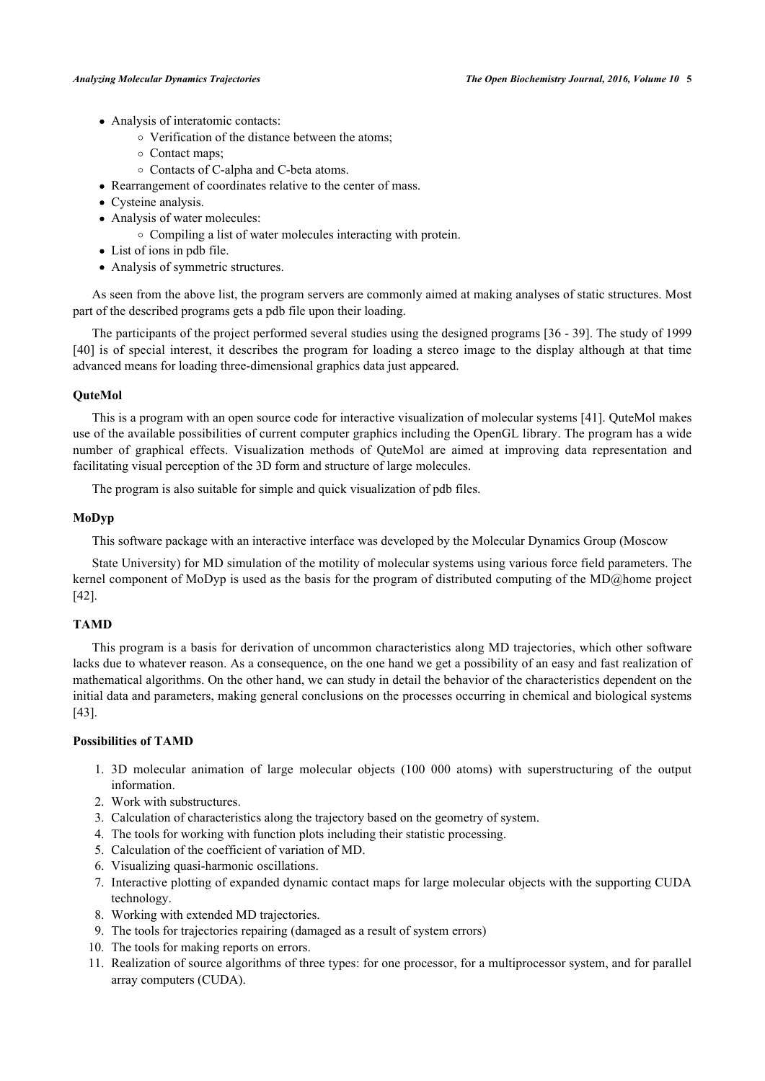- Analysis of interatomic contacts:
	- Verification of the distance between the atoms;
	- Contact maps;
	- Contacts of C-alpha and C-beta atoms.
- Rearrangement of coordinates relative to the center of mass.
- Cysteine analysis.
- Analysis of water molecules:
	- Compiling a list of water molecules interacting with protein.
- List of ions in pdb file.
- Analysis of symmetric structures.

As seen from the above list, the program servers are commonly aimed at making analyses of static structures. Most part of the described programs gets a pdb file upon their loading.

The participants of the project performed several studies using the designed programs [[36](#page-9-10) - [39\]](#page-9-11). The study of 1999 [\[40](#page-9-12)] is of special interest, it describes the program for loading a stereo image to the display although at that time advanced means for loading three-dimensional graphics data just appeared.

# **QuteMol**

This is a program with an open source code for interactive visualization of molecular systems [[41\]](#page-9-13). QuteMol makes use of the available possibilities of current computer graphics including the OpenGL library. The program has a wide number of graphical effects. Visualization methods of QuteMol are aimed at improving data representation and facilitating visual perception of the 3D form and structure of large molecules.

The program is also suitable for simple and quick visualization of pdb files.

# **MoDyp**

This software package with an interactive interface was developed by the Molecular Dynamics Group (Moscow

State University) for MD simulation of the motility of molecular systems using various force field parameters. The kernel component of MoDyp is used as the basis for the program of distributed computing of the MD@home project [\[42](#page-9-14)].

# **TAMD**

This program is a basis for derivation of uncommon characteristics along MD trajectories, which other software lacks due to whatever reason. As a consequence, on the one hand we get a possibility of an easy and fast realization of mathematical algorithms. On the other hand, we can study in detail the behavior of the characteristics dependent on the initial data and parameters, making general conclusions on the processes occurring in chemical and biological systems [\[43](#page-9-15)].

# **Possibilities of TAMD**

- 1. 3D molecular animation of large molecular objects (100 000 atoms) with superstructuring of the output information.
- 2. Work with substructures.
- 3. Calculation of characteristics along the trajectory based on the geometry of system.
- 4. The tools for working with function plots including their statistic processing.
- 5. Calculation of the coefficient of variation of MD.
- 6. Visualizing quasi-harmonic oscillations.
- 7. Interactive plotting of expanded dynamic contact maps for large molecular objects with the supporting CUDA technology.
- 8. Working with extended MD trajectories.
- 9. The tools for trajectories repairing (damaged as a result of system errors)
- 10. The tools for making reports on errors.
- 11. Realization of source algorithms of three types: for one processor, for a multiprocessor system, and for parallel array computers (CUDA).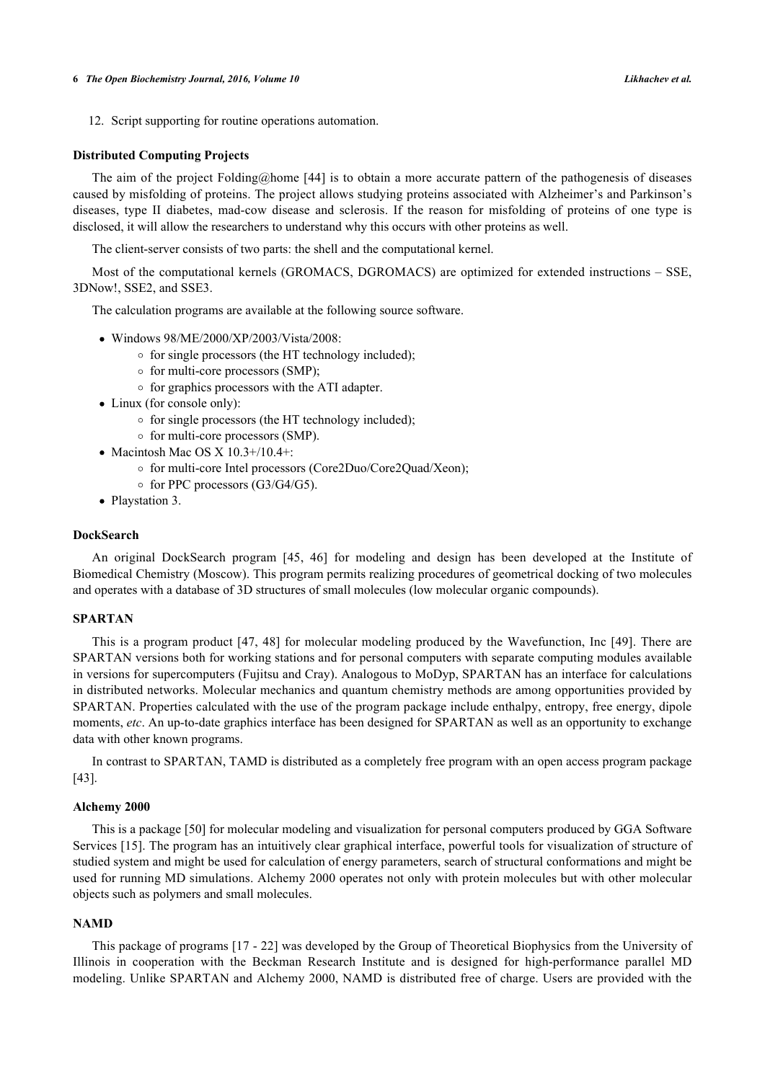12. Script supporting for routine operations automation.

#### **Distributed Computing Projects**

The aim of the project Folding@home [[44](#page-10-0)] is to obtain a more accurate pattern of the pathogenesis of diseases caused by misfolding of proteins. The project allows studying proteins associated with Alzheimer's and Parkinson's diseases, type II diabetes, mad-cow disease and sclerosis. If the reason for misfolding of proteins of one type is disclosed, it will allow the researchers to understand why this occurs with other proteins as well.

The client-server consists of two parts: the shell and the computational kernel.

Most of the computational kernels (GROMACS, DGROMACS) are optimized for extended instructions – SSE, 3DNow!, SSE2, and SSE3.

The calculation programs are available at the following source software.

- Windows 98/ME/2000/XP/2003/Vista/2008:
	- $\circ$  for single processors (the HT technology included);
	- $\circ$  for multi-core processors (SMP);
	- $\circ$  for graphics processors with the ATI adapter.
- Linux (for console only):
	- $\circ$  for single processors (the HT technology included);
	- $\circ$  for multi-core processors (SMP).
- Macintosh Mac OS X  $10.3+/10.4+$ :
	- for multi-core Intel processors (Core2Duo/Core2Quad/Xeon);
	- $\circ$  for PPC processors (G3/G4/G5).
- Playstation 3.

# **DockSearch**

An original DockSearch program[[45,](#page-10-1) [46\]](#page-10-2) for modeling and design has been developed at the Institute of Biomedical Chemistry (Moscow). This program permits realizing procedures of geometrical docking of two molecules and operates with a database of 3D structures of small molecules (low molecular organic compounds).

#### **SPARTAN**

This is a program product [\[47](#page-10-3), [48\]](#page-10-4) for molecular modeling produced by the Wavefunction, Inc [[49](#page-10-5)]. There are SPARTAN versions both for working stations and for personal computers with separate computing modules available in versions for supercomputers (Fujitsu and Cray). Analogous to MoDyp, SPARTAN has an interface for calculations in distributed networks. Molecular mechanics and quantum chemistry methods are among opportunities provided by SPARTAN. Properties calculated with the use of the program package include enthalpy, entropy, free energy, dipole moments, *etc*. An up-to-date graphics interface has been designed for SPARTAN as well as an opportunity to exchange data with other known programs.

In contrast to SPARTAN, TAMD is distributed as a completely free program with an open access program package [\[43](#page-9-15)].

# **Alchemy 2000**

This is a package [[50\]](#page-10-6) for molecular modeling and visualization for personal computers produced by GGA Software Services [\[15](#page-8-8)]. The program has an intuitively clear graphical interface, powerful tools for visualization of structure of studied system and might be used for calculation of energy parameters, search of structural conformations and might be used for running MD simulations. Alchemy 2000 operates not only with protein molecules but with other molecular objects such as polymers and small molecules.

### **NAMD**

This package of programs [\[17](#page-8-10) - [22](#page-9-0)] was developed by the Group of Theoretical Biophysics from the University of Illinois in cooperation with the Beckman Research Institute and is designed for high-performance parallel MD modeling. Unlike SPARTAN and Alchemy 2000, NAMD is distributed free of charge. Users are provided with the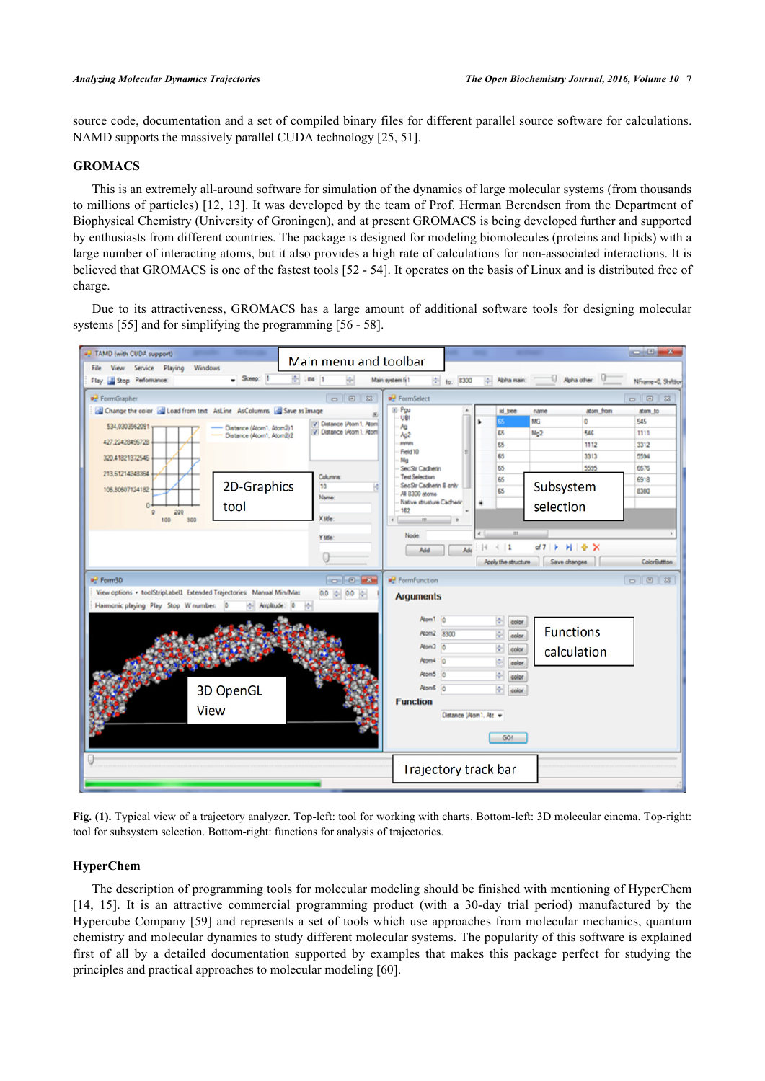source code, documentation and a set of compiled binary files for different parallel source software for calculations. NAMD supports the massively parallel CUDA technology [[25,](#page-9-3) [51\]](#page-10-7).

# **GROMACS**

This is an extremely all-around software for simulation of the dynamics of large molecular systems (from thousands to millions of particles) [\[12](#page-8-5), [13](#page-8-6)]. It was developed by the team of Prof. Herman Berendsen from the Department of Biophysical Chemistry (University of Groningen), and at present GROMACS is being developed further and supported by enthusiasts from different countries. The package is designed for modeling biomolecules (proteins and lipids) with a large number of interacting atoms, but it also provides a high rate of calculations for non-associated interactions. It is believed that GROMACS is one of the fastest tools [[52](#page-10-8) - [54](#page-10-9)]. It operates on the basis of Linux and is distributed free of charge.

Due to its attractiveness, GROMACS has a large amount of additional software tools for designing molecular systems [\[55](#page-10-10)] and for simplifying the programming [[56](#page-10-11) - [58](#page-10-12)].

<span id="page-6-0"></span>

**Fig. (1).** Typical view of a trajectory analyzer. Top-left: tool for working with charts. Bottom-left: 3D molecular cinema. Top-right: tool for subsystem selection. Bottom-right: functions for analysis of trajectories.

# **HyperChem**

The description of programming tools for molecular modeling should be finished with mentioning of HyperChem [\[14](#page-8-7), [15\]](#page-8-8). It is an attractive commercial programming product (with a 30-day trial period) manufactured by the Hypercube Company [[59\]](#page-10-13) and represents a set of tools which use approaches from molecular mechanics, quantum chemistry and molecular dynamics to study different molecular systems. The popularity of this software is explained first of all by a detailed documentation supported by examples that makes this package perfect for studying the principles and practical approaches to molecular modeling [\[60](#page-10-14)].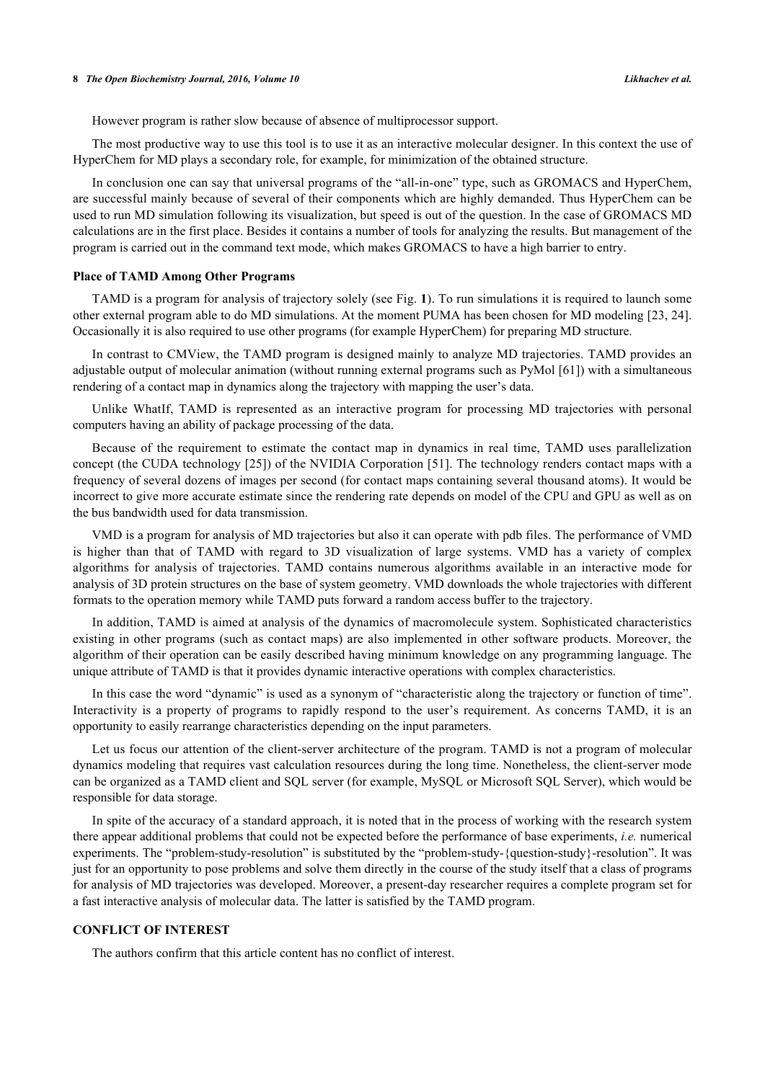However program is rather slow because of absence of multiprocessor support.

The most productive way to use this tool is to use it as an interactive molecular designer. In this context the use of HyperChem for MD plays a secondary role, for example, for minimization of the obtained structure.

In conclusion one can say that universal programs of the "all-in-one" type, such as GROMACS and HyperChem, are successful mainly because of several of their components which are highly demanded. Thus HyperChem can be used to run MD simulation following its visualization, but speed is out of the question. In the case of GROMACS MD calculations are in the first place. Besides it contains a number of tools for analyzing the results. But management of the program is carried out in the command text mode, which makes GROMACS to have a high barrier to entry.

#### **Place of TAMD Among Other Programs**

TAMD is a program for analysis of trajectory solely (see Fig. **[1](#page-6-0)**). To run simulations it is required to launch some other external program able to do MD simulations. At the moment PUMA has been chosen for MD modeling [\[23](#page-9-1), [24\]](#page-9-2). Occasionally it is also required to use other programs (for example HyperChem) for preparing MD structure.

In contrast to CMView, the TAMD program is designed mainly to analyze MD trajectories. TAMD provides an adjustable output of molecular animation (without running external programs such as PyMol [\[61](#page-10-15)]) with a simultaneous rendering of a contact map in dynamics along the trajectory with mapping the user's data.

Unlike WhatIf, TAMD is represented as an interactive program for processing MD trajectories with personal computers having an ability of package processing of the data.

Because of the requirement to estimate the contact map in dynamics in real time, TAMD uses parallelization concept (the CUDA technology [[25](#page-9-3)]) of the NVIDIA Corporation [\[51](#page-10-7)]. The technology renders contact maps with a frequency of several dozens of images per second (for contact maps containing several thousand atoms). It would be incorrect to give more accurate estimate since the rendering rate depends on model of the CPU and GPU as well as on the bus bandwidth used for data transmission.

VMD is a program for analysis of MD trajectories but also it can operate with pdb files. The performance of VMD is higher than that of TAMD with regard to 3D visualization of large systems. VMD has a variety of complex algorithms for analysis of trajectories. TAMD contains numerous algorithms available in an interactive mode for analysis of 3D protein structures on the base of system geometry. VMD downloads the whole trajectories with different formats to the operation memory while TAMD puts forward a random access buffer to the trajectory.

In addition, TAMD is aimed at analysis of the dynamics of macromolecule system. Sophisticated characteristics existing in other programs (such as contact maps) are also implemented in other software products. Moreover, the algorithm of their operation can be easily described having minimum knowledge on any programming language. The unique attribute of TAMD is that it provides dynamic interactive operations with complex characteristics.

In this case the word "dynamic" is used as a synonym of "characteristic along the trajectory or function of time". Interactivity is a property of programs to rapidly respond to the user's requirement. As concerns TAMD, it is an opportunity to easily rearrange characteristics depending on the input parameters.

Let us focus our attention of the client-server architecture of the program. TAMD is not a program of molecular dynamics modeling that requires vast calculation resources during the long time. Nonetheless, the client-server mode can be organized as a TAMD client and SQL server (for example, MySQL or Microsoft SQL Server), which would be responsible for data storage.

In spite of the accuracy of a standard approach, it is noted that in the process of working with the research system there appear additional problems that could not be expected before the performance of base experiments, *i.e.* numerical experiments. The "problem-study-resolution" is substituted by the "problem-study-{question-study}-resolution". It was just for an opportunity to pose problems and solve them directly in the course of the study itself that a class of programs for analysis of MD trajectories was developed. Moreover, a present-day researcher requires a complete program set for a fast interactive analysis of molecular data. The latter is satisfied by the TAMD program.

# **CONFLICT OF INTEREST**

The authors confirm that this article content has no conflict of interest.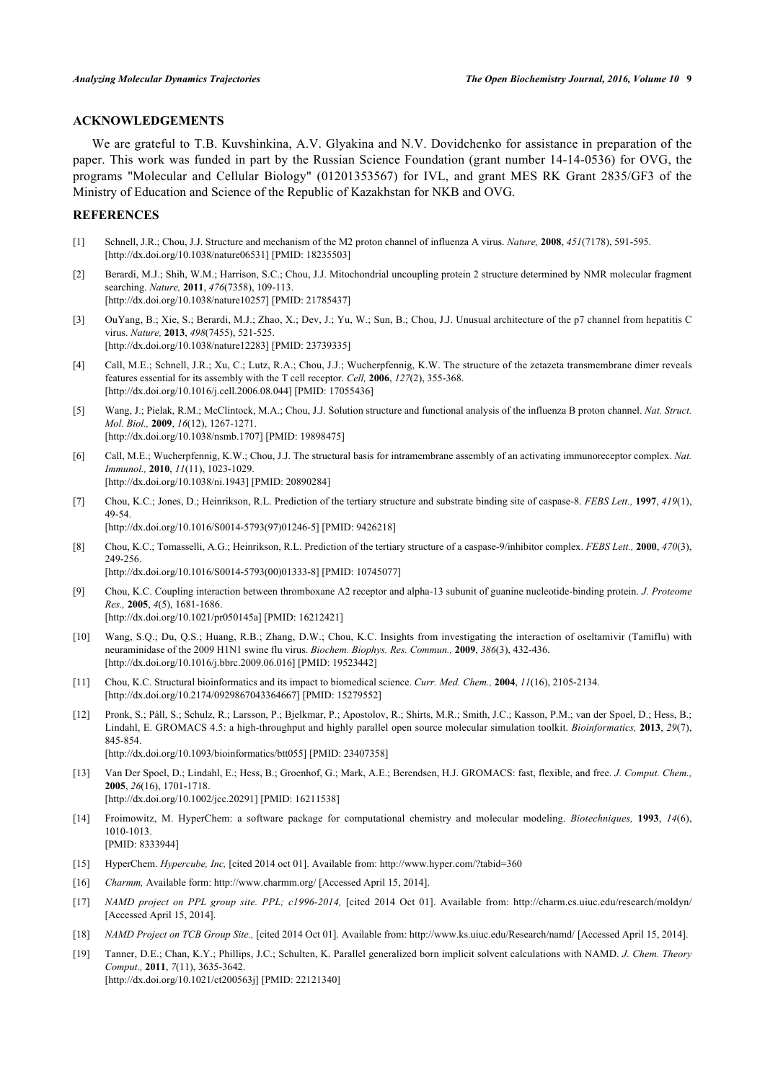# **ACKNOWLEDGEMENTS**

We are grateful to T.B. Kuvshinkina, A.V. Glyakina and N.V. Dovidchenko for assistance in preparation of the paper. This work was funded in part by the Russian Science Foundation (grant number 14-14-0536) for OVG, the programs "Molecular and Cellular Biology" (01201353567) for IVL, and grant MES RK Grant 2835/GF3 of the Ministry of Education and Science of the Republic of Kazakhstan for NKB and OVG.

#### **REFERENCES**

- <span id="page-8-0"></span>[1] Schnell, J.R.; Chou, J.J. Structure and mechanism of the M2 proton channel of influenza A virus. *Nature,* **2008**, *451*(7178), 591-595. [\[http://dx.doi.org/10.1038/nature06531\]](http://dx.doi.org/10.1038/nature06531) [PMID: [18235503](http://www.ncbi.nlm.nih.gov/pubmed/18235503)]
- [2] Berardi, M.J.; Shih, W.M.; Harrison, S.C.; Chou, J.J. Mitochondrial uncoupling protein 2 structure determined by NMR molecular fragment searching. *Nature,* **2011**, *476*(7358), 109-113. [\[http://dx.doi.org/10.1038/nature10257\]](http://dx.doi.org/10.1038/nature10257) [PMID: [21785437](http://www.ncbi.nlm.nih.gov/pubmed/21785437)]
- [3] OuYang, B.; Xie, S.; Berardi, M.J.; Zhao, X.; Dev, J.; Yu, W.; Sun, B.; Chou, J.J. Unusual architecture of the p7 channel from hepatitis C virus. *Nature,* **2013**, *498*(7455), 521-525. [\[http://dx.doi.org/10.1038/nature12283\]](http://dx.doi.org/10.1038/nature12283) [PMID: [23739335](http://www.ncbi.nlm.nih.gov/pubmed/23739335)]
- [4] Call, M.E.; Schnell, J.R.; Xu, C.; Lutz, R.A.; Chou, J.J.; Wucherpfennig, K.W. The structure of the zetazeta transmembrane dimer reveals features essential for its assembly with the T cell receptor. *Cell,* **2006**, *127*(2), 355-368. [\[http://dx.doi.org/10.1016/j.cell.2006.08.044\]](http://dx.doi.org/10.1016/j.cell.2006.08.044) [PMID: [17055436](http://www.ncbi.nlm.nih.gov/pubmed/17055436)]
- [5] Wang, J.; Pielak, R.M.; McClintock, M.A.; Chou, J.J. Solution structure and functional analysis of the influenza B proton channel. *Nat. Struct. Mol. Biol.,* **2009**, *16*(12), 1267-1271. [\[http://dx.doi.org/10.1038/nsmb.1707](http://dx.doi.org/10.1038/nsmb.1707)] [PMID: [19898475\]](http://www.ncbi.nlm.nih.gov/pubmed/19898475)
- <span id="page-8-1"></span>[6] Call, M.E.; Wucherpfennig, K.W.; Chou, J.J. The structural basis for intramembrane assembly of an activating immunoreceptor complex. *Nat. Immunol.,* **2010**, *11*(11), 1023-1029. [\[http://dx.doi.org/10.1038/ni.1943](http://dx.doi.org/10.1038/ni.1943)] [PMID: [20890284\]](http://www.ncbi.nlm.nih.gov/pubmed/20890284)
- <span id="page-8-2"></span>[7] Chou, K.C.; Jones, D.; Heinrikson, R.L. Prediction of the tertiary structure and substrate binding site of caspase-8. *FEBS Lett.,* **1997**, *419*(1), 49-54. [\[http://dx.doi.org/10.1016/S0014-5793\(97\)01246-5\]](http://dx.doi.org/10.1016/S0014-5793(97)01246-5) [PMID: [9426218](http://www.ncbi.nlm.nih.gov/pubmed/9426218)]
- [8] Chou, K.C.; Tomasselli, A.G.; Heinrikson, R.L. Prediction of the tertiary structure of a caspase-9/inhibitor complex. *FEBS Lett.,* **2000**, *470*(3), 249-256. [\[http://dx.doi.org/10.1016/S0014-5793\(00\)01333-8\]](http://dx.doi.org/10.1016/S0014-5793(00)01333-8) [PMID: [10745077](http://www.ncbi.nlm.nih.gov/pubmed/10745077)]
- [9] Chou, K.C. Coupling interaction between thromboxane A2 receptor and alpha-13 subunit of guanine nucleotide-binding protein. *J. Proteome Res.,* **2005**, *4*(5), 1681-1686. [\[http://dx.doi.org/10.1021/pr050145a](http://dx.doi.org/10.1021/pr050145a)] [PMID: [16212421\]](http://www.ncbi.nlm.nih.gov/pubmed/16212421)
- <span id="page-8-3"></span>[10] Wang, S.Q.; Du, Q.S.; Huang, R.B.; Zhang, D.W.; Chou, K.C. Insights from investigating the interaction of oseltamivir (Tamiflu) with neuraminidase of the 2009 H1N1 swine flu virus. *Biochem. Biophys. Res. Commun.,* **2009**, *386*(3), 432-436. [\[http://dx.doi.org/10.1016/j.bbrc.2009.06.016](http://dx.doi.org/10.1016/j.bbrc.2009.06.016)] [PMID: [19523442\]](http://www.ncbi.nlm.nih.gov/pubmed/19523442)
- <span id="page-8-4"></span>[11] Chou, K.C. Structural bioinformatics and its impact to biomedical science. *Curr. Med. Chem.,* **2004**, *11*(16), 2105-2134. [\[http://dx.doi.org/10.2174/0929867043364667\]](http://dx.doi.org/10.2174/0929867043364667) [PMID: [15279552](http://www.ncbi.nlm.nih.gov/pubmed/15279552)]
- <span id="page-8-5"></span>[12] Pronk, S.; Páll, S.; Schulz, R.; Larsson, P.; Bjelkmar, P.; Apostolov, R.; Shirts, M.R.; Smith, J.C.; Kasson, P.M.; van der Spoel, D.; Hess, B.; Lindahl, E. GROMACS 4.5: a high-throughput and highly parallel open source molecular simulation toolkit. *Bioinformatics,* **2013**, *29*(7), 845-854. [\[http://dx.doi.org/10.1093/bioinformatics/btt055](http://dx.doi.org/10.1093/bioinformatics/btt055)] [PMID: [23407358\]](http://www.ncbi.nlm.nih.gov/pubmed/23407358)
- <span id="page-8-6"></span>[13] Van Der Spoel, D.; Lindahl, E.; Hess, B.; Groenhof, G.; Mark, A.E.; Berendsen, H.J. GROMACS: fast, flexible, and free. *J. Comput. Chem.,* **2005**, *26*(16), 1701-1718. [\[http://dx.doi.org/10.1002/jcc.20291](http://dx.doi.org/10.1002/jcc.20291)] [PMID: [16211538\]](http://www.ncbi.nlm.nih.gov/pubmed/16211538)
- <span id="page-8-7"></span>[14] Froimowitz, M. HyperChem: a software package for computational chemistry and molecular modeling. *Biotechniques,* **1993**, *14*(6), 1010-1013. [PMID: [8333944\]](http://www.ncbi.nlm.nih.gov/pubmed/8333944)
- <span id="page-8-8"></span>[15] HyperChem. *Hypercube, Inc,* [cited 2014 oct 01]. Available from: <http://www.hyper.com/?tabid=360>
- <span id="page-8-9"></span>[16] *Charmm,* Available form: <http://www.charmm.org/> [Accessed April 15, 2014].
- <span id="page-8-10"></span>[17] *NAMD project on PPL group site. PPL; c1996-2014,* [cited 2014 Oct 01]. Available from:<http://charm.cs.uiuc.edu/research/moldyn/> [Accessed April 15, 2014].
- [18] *NAMD Project on TCB Group Site.,* [cited 2014 Oct 01]. Available from: <http://www.ks.uiuc.edu/Research/namd/> [Accessed April 15, 2014].
- [19] Tanner, D.E.; Chan, K.Y.; Phillips, J.C.; Schulten, K. Parallel generalized born implicit solvent calculations with NAMD. *J. Chem. Theory Comput.,* **2011**, *7*(11), 3635-3642. [\[http://dx.doi.org/10.1021/ct200563j\]](http://dx.doi.org/10.1021/ct200563j) [PMID: [22121340](http://www.ncbi.nlm.nih.gov/pubmed/22121340)]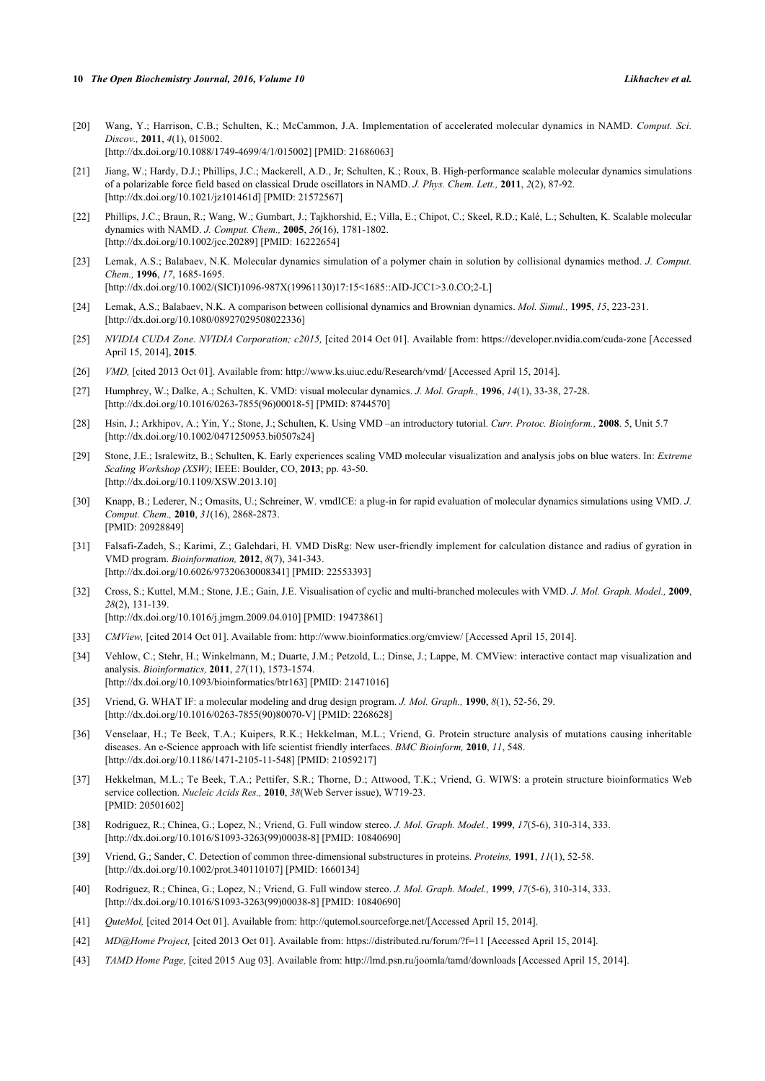- [20] Wang, Y.; Harrison, C.B.; Schulten, K.; McCammon, J.A. Implementation of accelerated molecular dynamics in NAMD. *Comput. Sci. Discov.,* **2011**, *4*(1), 015002. [\[http://dx.doi.org/10.1088/1749-4699/4/1/015002](http://dx.doi.org/10.1088/1749-4699/4/1/015002)] [PMID: [21686063\]](http://www.ncbi.nlm.nih.gov/pubmed/21686063)
- [21] Jiang, W.; Hardy, D.J.; Phillips, J.C.; Mackerell, A.D., Jr; Schulten, K.; Roux, B. High-performance scalable molecular dynamics simulations of a polarizable force field based on classical Drude oscillators in NAMD. *J. Phys. Chem. Lett.,* **2011**, *2*(2), 87-92. [\[http://dx.doi.org/10.1021/jz101461d\]](http://dx.doi.org/10.1021/jz101461d) [PMID: [21572567](http://www.ncbi.nlm.nih.gov/pubmed/21572567)]
- <span id="page-9-0"></span>[22] Phillips, J.C.; Braun, R.; Wang, W.; Gumbart, J.; Tajkhorshid, E.; Villa, E.; Chipot, C.; Skeel, R.D.; Kalé, L.; Schulten, K. Scalable molecular dynamics with NAMD. *J. Comput. Chem.,* **2005**, *26*(16), 1781-1802. [\[http://dx.doi.org/10.1002/jcc.20289](http://dx.doi.org/10.1002/jcc.20289)] [PMID: [16222654\]](http://www.ncbi.nlm.nih.gov/pubmed/16222654)
- <span id="page-9-1"></span>[23] Lemak, A.S.; Balabaev, N.K. Molecular dynamics simulation of a polymer chain in solution by collisional dynamics method. *J. Comput. Chem.,* **1996**, *17*, 1685-1695. [\[http://dx.doi.org/10.1002/\(SICI\)1096-987X\(19961130\)17:15<1685::AID-JCC1>3.0.CO;2-L](http://dx.doi.org/10.1002/(SICI)1096-987X(19961130)17:15<1685::AID-JCC1>3.0.CO;2-L)]
- <span id="page-9-2"></span>[24] Lemak, A.S.; Balabaev, N.K. A comparison between collisional dynamics and Brownian dynamics. *Mol. Simul.,* **1995**, *15*, 223-231. [\[http://dx.doi.org/10.1080/08927029508022336\]](http://dx.doi.org/10.1080/08927029508022336)
- <span id="page-9-3"></span>[25] *NVIDIA CUDA Zone. NVIDIA Corporation; c2015,* [cited 2014 Oct 01]. Available from: <https://developer.nvidia.com/cuda-zone> [Accessed April 15, 2014], **2015**.
- <span id="page-9-4"></span>[26] *VMD,* [cited 2013 Oct 01]. Available from:<http://www.ks.uiuc.edu/Research/vmd/> [Accessed April 15, 2014].
- [27] Humphrey, W.; Dalke, A.; Schulten, K. VMD: visual molecular dynamics. *J. Mol. Graph.,* **1996**, *14*(1), 33-38, 27-28. [\[http://dx.doi.org/10.1016/0263-7855\(96\)00018-5](http://dx.doi.org/10.1016/0263-7855(96)00018-5)] [PMID: [8744570](http://www.ncbi.nlm.nih.gov/pubmed/8744570)]
- [28] Hsin, J.; Arkhipov, A.; Yin, Y.; Stone, J.; Schulten, K. Using VMD –an introductory tutorial. *Curr. Protoc. Bioinform.,* **2008**. 5, Unit 5.7 [\[http://dx.doi.org/10.1002/0471250953.bi0507s24](http://dx.doi.org/10.1002/0471250953.bi0507s24)]
- [29] Stone, J.E.; Isralewitz, B.; Schulten, K. Early experiences scaling VMD molecular visualization and analysis jobs on blue waters. In: *Extreme Scaling Workshop (XSW)*; IEEE: Boulder, CO, **2013**; pp. 43-50. [\[http://dx.doi.org/10.1109/XSW.2013.10\]](http://dx.doi.org/10.1109/XSW.2013.10)
- [30] Knapp, B.; Lederer, N.; Omasits, U.; Schreiner, W. vmdICE: a plug-in for rapid evaluation of molecular dynamics simulations using VMD. *J. Comput. Chem.,* **2010**, *31*(16), 2868-2873. [PMID: [20928849\]](http://www.ncbi.nlm.nih.gov/pubmed/20928849)
- <span id="page-9-5"></span>[31] Falsafi-Zadeh, S.; Karimi, Z.; Galehdari, H. VMD DisRg: New user-friendly implement for calculation distance and radius of gyration in VMD program. *Bioinformation,* **2012**, *8*(7), 341-343. [\[http://dx.doi.org/10.6026/97320630008341\]](http://dx.doi.org/10.6026/97320630008341) [PMID: [22553393](http://www.ncbi.nlm.nih.gov/pubmed/22553393)]
- <span id="page-9-6"></span>[32] Cross, S.; Kuttel, M.M.; Stone, J.E.; Gain, J.E. Visualisation of cyclic and multi-branched molecules with VMD. *J. Mol. Graph. Model.,* **2009**, *28*(2), 131-139. [\[http://dx.doi.org/10.1016/j.jmgm.2009.04.010\]](http://dx.doi.org/10.1016/j.jmgm.2009.04.010) [PMID: [19473861](http://www.ncbi.nlm.nih.gov/pubmed/19473861)]
- <span id="page-9-7"></span>[33] *CMView,* [cited 2014 Oct 01]. Available from:<http://www.bioinformatics.org/cmview/>[Accessed April 15, 2014].
- <span id="page-9-8"></span>[34] Vehlow, C.; Stehr, H.; Winkelmann, M.; Duarte, J.M.; Petzold, L.; Dinse, J.; Lappe, M. CMView: interactive contact map visualization and analysis. *Bioinformatics,* **2011**, *27*(11), 1573-1574. [\[http://dx.doi.org/10.1093/bioinformatics/btr163\]](http://dx.doi.org/10.1093/bioinformatics/btr163) [PMID: [21471016](http://www.ncbi.nlm.nih.gov/pubmed/21471016)]
- <span id="page-9-9"></span>[35] Vriend, G. WHAT IF: a molecular modeling and drug design program. *J. Mol. Graph.,* **1990**, *8*(1), 52-56, 29. [\[http://dx.doi.org/10.1016/0263-7855\(90\)80070-V](http://dx.doi.org/10.1016/0263-7855(90)80070-V)] [PMID: [2268628\]](http://www.ncbi.nlm.nih.gov/pubmed/2268628)
- <span id="page-9-10"></span>[36] Venselaar, H.; Te Beek, T.A.; Kuipers, R.K.; Hekkelman, M.L.; Vriend, G. Protein structure analysis of mutations causing inheritable diseases. An e-Science approach with life scientist friendly interfaces. *BMC Bioinform,* **2010**, *11*, 548. [\[http://dx.doi.org/10.1186/1471-2105-11-548\]](http://dx.doi.org/10.1186/1471-2105-11-548) [PMID: [21059217](http://www.ncbi.nlm.nih.gov/pubmed/21059217)]
- [37] Hekkelman, M.L.; Te Beek, T.A.; Pettifer, S.R.; Thorne, D.; Attwood, T.K.; Vriend, G. WIWS: a protein structure bioinformatics Web service collection. *Nucleic Acids Res.,* **2010**, *38*(Web Server issue), W719-23. [PMID: [20501602\]](http://www.ncbi.nlm.nih.gov/pubmed/20501602)
- [38] Rodriguez, R.; Chinea, G.; Lopez, N.; Vriend, G. Full window stereo. *J. Mol. Graph. Model.,* **1999**, *17*(5-6), 310-314, 333. [\[http://dx.doi.org/10.1016/S1093-3263\(99\)00038-8\]](http://dx.doi.org/10.1016/S1093-3263(99)00038-8) [PMID: [10840690](http://www.ncbi.nlm.nih.gov/pubmed/10840690)]
- <span id="page-9-11"></span>[39] Vriend, G.; Sander, C. Detection of common three-dimensional substructures in proteins. *Proteins,* **1991**, *11*(1), 52-58. [\[http://dx.doi.org/10.1002/prot.340110107\]](http://dx.doi.org/10.1002/prot.340110107) [PMID: [1660134](http://www.ncbi.nlm.nih.gov/pubmed/1660134)]
- <span id="page-9-12"></span>[40] Rodriguez, R.; Chinea, G.; Lopez, N.; Vriend, G. Full window stereo. *J. Mol. Graph. Model.,* **1999**, *17*(5-6), 310-314, 333. [\[http://dx.doi.org/10.1016/S1093-3263\(99\)00038-8\]](http://dx.doi.org/10.1016/S1093-3263(99)00038-8) [PMID: [10840690](http://www.ncbi.nlm.nih.gov/pubmed/10840690)]
- <span id="page-9-13"></span>[41] *QuteMol,* [cited 2014 Oct 01]. Available from: [http://qutemol.sourceforge.net/\[](http://qutemol.sourceforge.net/)Accessed April 15, 2014].
- <span id="page-9-14"></span>[42] *MD@Home Project,* [cited 2013 Oct 01]. Available from:<https://distributed.ru/forum/?f=11> [Accessed April 15, 2014].
- <span id="page-9-15"></span>[43] *TAMD Home Page,* [cited 2015 Aug 03]. Available from: <http://lmd.psn.ru/joomla/tamd/downloads> [Accessed April 15, 2014].